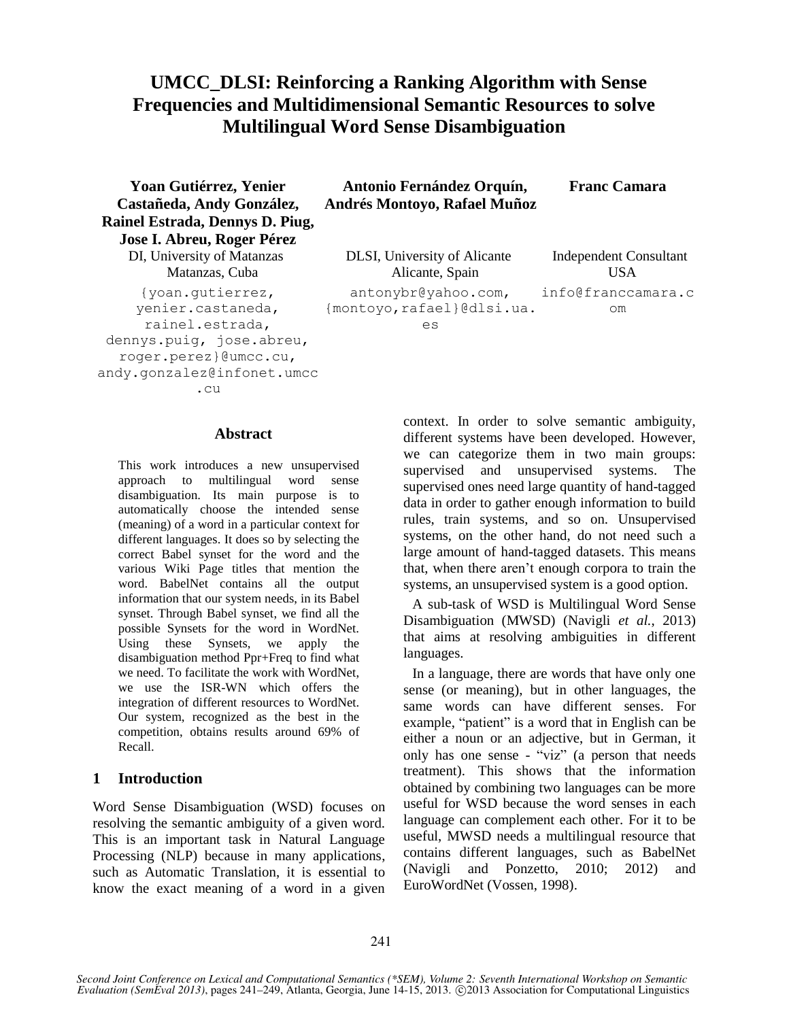# **UMCC\_DLSI: Reinforcing a Ranking Algorithm with Sense Frequencies and Multidimensional Semantic Resources to solve Multilingual Word Sense Disambiguation**

**Antonio Fernández Orquín, Andrés Montoyo, Rafael Muñoz**

**Yoan Gutiérrez, Yenier Castañeda, Andy González, Rainel Estrada, Dennys D. Piug, Jose I. Abreu, Roger Pérez**

{yoan.gutierrez, yenier.castaneda, rainel.estrada, dennys.puig, jose.abreu, roger.perez}@umcc.cu, andy.gonzalez@infonet.umcc .cu

#### **Abstract**

This work introduces a new unsupervised approach to multilingual word sense disambiguation. Its main purpose is to automatically choose the intended sense (meaning) of a word in a particular context for different languages. It does so by selecting the correct Babel synset for the word and the various Wiki Page titles that mention the word. BabelNet contains all the output information that our system needs, in its Babel synset. Through Babel synset, we find all the possible Synsets for the word in WordNet. Using these Synsets, we apply the disambiguation method Ppr+Freq to find what we need. To facilitate the work with WordNet, we use the ISR-WN which offers the integration of different resources to WordNet. Our system, recognized as the best in the competition, obtains results around 69% of Recall.

# **1 Introduction**

Word Sense Disambiguation (WSD) focuses on resolving the semantic ambiguity of a given word. This is an important task in Natural Language Processing (NLP) because in many applications, such as Automatic Translation, it is essential to know the exact meaning of a word in a given

DI, University of Matanzas DLSI, University of Alicante Independent Consultant Matanzas, Cuba **Alicante, Spain** USA antonybr@yahoo.com, {montoyo,rafael}@dlsi.ua. es info@franccamara.c om

**Franc Camara**

context. In order to solve semantic ambiguity, different systems have been developed. However, we can categorize them in two main groups: supervised and unsupervised systems. The supervised ones need large quantity of hand-tagged data in order to gather enough information to build rules, train systems, and so on. Unsupervised systems, on the other hand, do not need such a large amount of hand-tagged datasets. This means that, when there aren't enough corpora to train the systems, an unsupervised system is a good option.

A sub-task of WSD is Multilingual Word Sense Disambiguation (MWSD) (Navigli *et al.*, 2013) that aims at resolving ambiguities in different languages.

In a language, there are words that have only one sense (or meaning), but in other languages, the same words can have different senses. For example, "patient" is a word that in English can be either a noun or an adjective, but in German, it only has one sense - "viz" (a person that needs treatment). This shows that the information obtained by combining two languages can be more useful for WSD because the word senses in each language can complement each other. For it to be useful, MWSD needs a multilingual resource that contains different languages, such as BabelNet (Navigli and Ponzetto, 2010; 2012) and EuroWordNet (Vossen, 1998).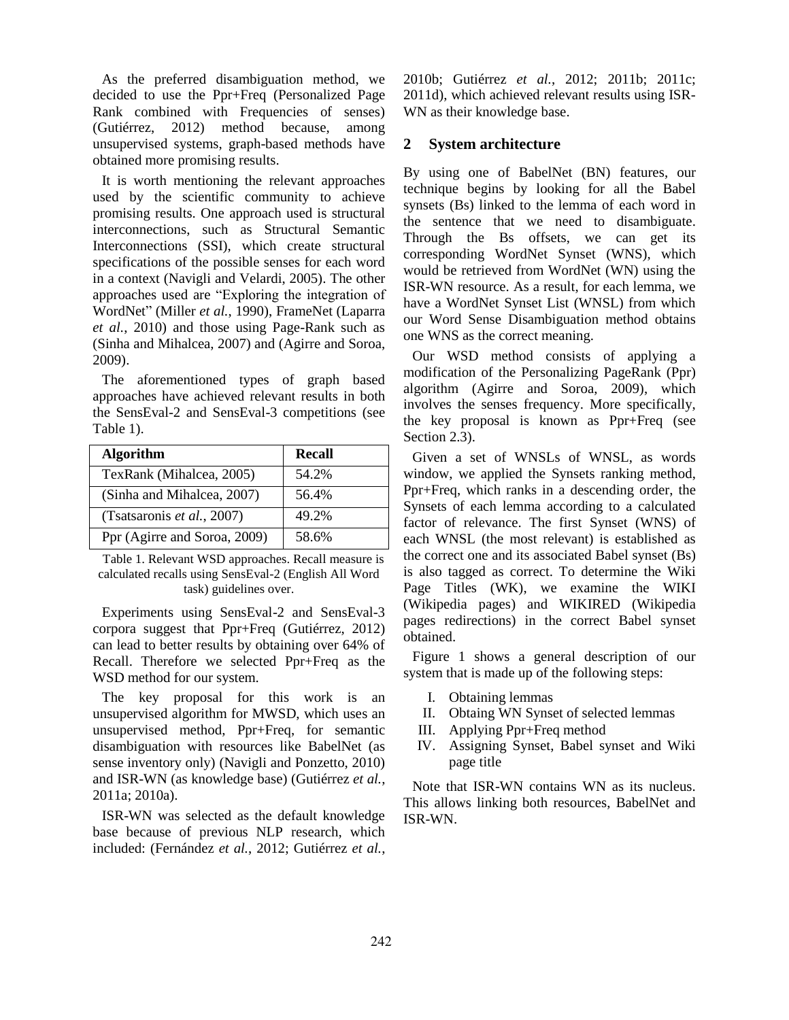As the preferred disambiguation method, we decided to use the Ppr+Freq (Personalized Page Rank combined with Frequencies of senses) (Gutiérrez, 2012) method because, among unsupervised systems, graph-based methods have obtained more promising results.

It is worth mentioning the relevant approaches used by the scientific community to achieve promising results. One approach used is structural interconnections, such as Structural Semantic Interconnections (SSI), which create structural specifications of the possible senses for each word in a context (Navigli and Velardi, 2005). The other approaches used are "Exploring the integration of WordNet" (Miller *et al.*, 1990), FrameNet (Laparra *et al.*, 2010) and those using Page-Rank such as (Sinha and Mihalcea, 2007) and (Agirre and Soroa, 2009).

The aforementioned types of graph based approaches have achieved relevant results in both the SensEval-2 and SensEval-3 competitions (see Table 1).

| <b>Algorithm</b>             | <b>Recall</b> |
|------------------------------|---------------|
| TexRank (Mihalcea, 2005)     | 54.2%         |
| (Sinha and Mihalcea, 2007)   | 56.4%         |
| (Tsatsaronis et al., 2007)   | 49.2%         |
| Ppr (Agirre and Soroa, 2009) | 58.6%         |

Table 1. Relevant WSD approaches. Recall measure is calculated recalls using SensEval-2 (English All Word task) guidelines over.

Experiments using SensEval-2 and SensEval-3 corpora suggest that Ppr+Freq (Gutiérrez, 2012) can lead to better results by obtaining over 64% of Recall. Therefore we selected Ppr+Freq as the WSD method for our system.

The key proposal for this work is an unsupervised algorithm for MWSD, which uses an unsupervised method, Ppr+Freq, for semantic disambiguation with resources like BabelNet (as sense inventory only) (Navigli and Ponzetto, 2010) and ISR-WN (as knowledge base) (Gutiérrez *et al.*, 2011a; 2010a).

ISR-WN was selected as the default knowledge base because of previous NLP research, which included: (Fernández *et al.*, 2012; Gutiérrez *et al.*, 2010b; Gutiérrez *et al.*, 2012; 2011b; 2011c; 2011d), which achieved relevant results using ISR-WN as their knowledge base.

# **2 System architecture**

By using one of BabelNet (BN) features, our technique begins by looking for all the Babel synsets (Bs) linked to the lemma of each word in the sentence that we need to disambiguate. Through the Bs offsets, we can get its corresponding WordNet Synset (WNS), which would be retrieved from WordNet (WN) using the ISR-WN resource. As a result, for each lemma, we have a WordNet Synset List (WNSL) from which our Word Sense Disambiguation method obtains one WNS as the correct meaning.

Our WSD method consists of applying a modification of the Personalizing PageRank (Ppr) algorithm (Agirre and Soroa, 2009), which involves the senses frequency. More specifically, the key proposal is known as Ppr+Freq (see Section 2.3).

Given a set of WNSLs of WNSL, as words window, we applied the Synsets ranking method, Ppr+Freq, which ranks in a descending order, the Synsets of each lemma according to a calculated factor of relevance. The first Synset (WNS) of each WNSL (the most relevant) is established as the correct one and its associated Babel synset (Bs) is also tagged as correct. To determine the Wiki Page Titles (WK), we examine the WIKI (Wikipedia pages) and WIKIRED (Wikipedia pages redirections) in the correct Babel synset obtained.

Figure 1 shows a general description of our system that is made up of the following steps:

- I. Obtaining lemmas
- II. Obtaing WN Synset of selected lemmas
- III. Applying Ppr+Freq method
- IV. Assigning Synset, Babel synset and Wiki page title

Note that ISR-WN contains WN as its nucleus. This allows linking both resources, BabelNet and ISR-WN.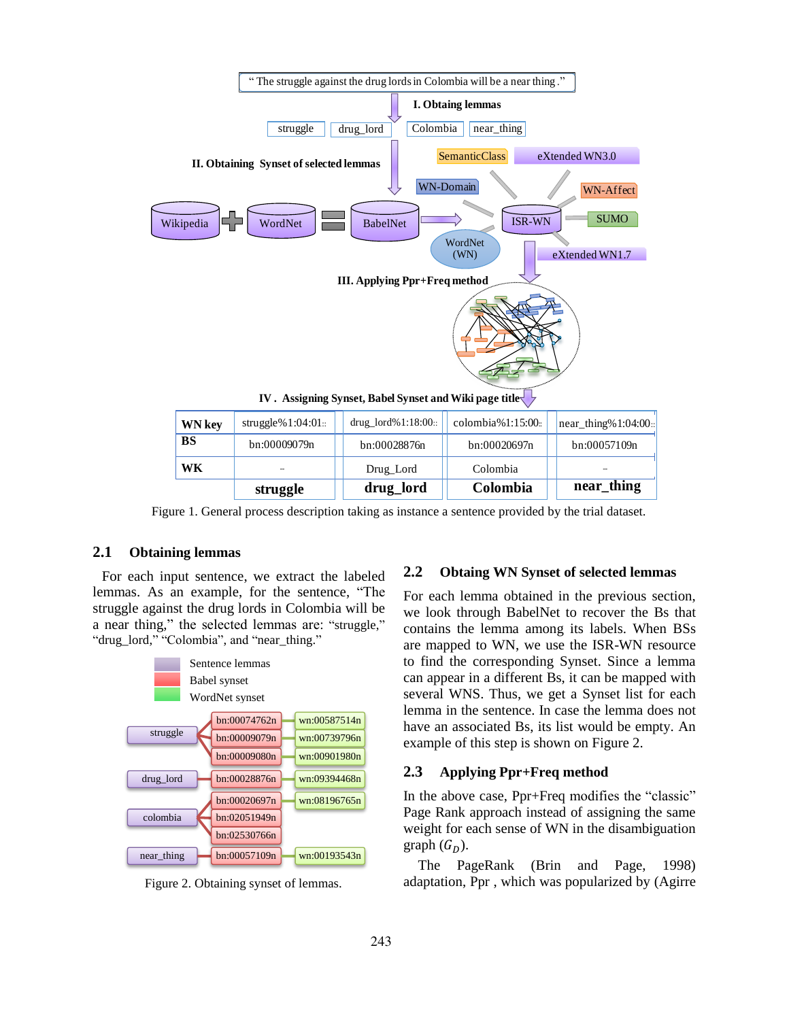

| <b>WN</b> key<br><b>BS</b> | struggle% $1:04:01::$ | drug_lord%1:18:00:: | $\text{colombia}\%1:15:00:$ | $\vert$ near_thing% 1:04:00:: |
|----------------------------|-----------------------|---------------------|-----------------------------|-------------------------------|
|                            | bn:00009079n          | bn:00028876n        | bn:00020697n                | bn:00057109n                  |
| WК                         |                       | Drug_Lord           | Colombia                    |                               |
|                            | struggle              | drug_lord           | Colombia                    | near_thing                    |

Figure 1. General process description taking as instance a sentence provided by the trial dataset.

# **2.1 Obtaining lemmas**

For each input sentence, we extract the labeled lemmas. As an example, for the sentence, "The struggle against the drug lords in Colombia will be a near thing," the selected lemmas are: "struggle," "drug\_lord," "Colombia", and "near\_thing."



Figure 2. Obtaining synset of lemmas.

# **2.2 Obtaing WN Synset of selected lemmas**

For each lemma obtained in the previous section, we look through BabelNet to recover the Bs that contains the lemma among its labels. When BSs are mapped to WN, we use the ISR-WN resource to find the corresponding Synset. Since a lemma can appear in a different Bs, it can be mapped with several WNS. Thus, we get a Synset list for each lemma in the sentence. In case the lemma does not have an associated Bs, its list would be empty. An example of this step is shown on Figure 2.

# **2.3 Applying Ppr+Freq method**

In the above case, Ppr+Freq modifies the "classic" Page Rank approach instead of assigning the same weight for each sense of WN in the disambiguation graph  $(G_n)$ .

The PageRank (Brin and Page, 1998) adaptation, Ppr , which was popularized by (Agirre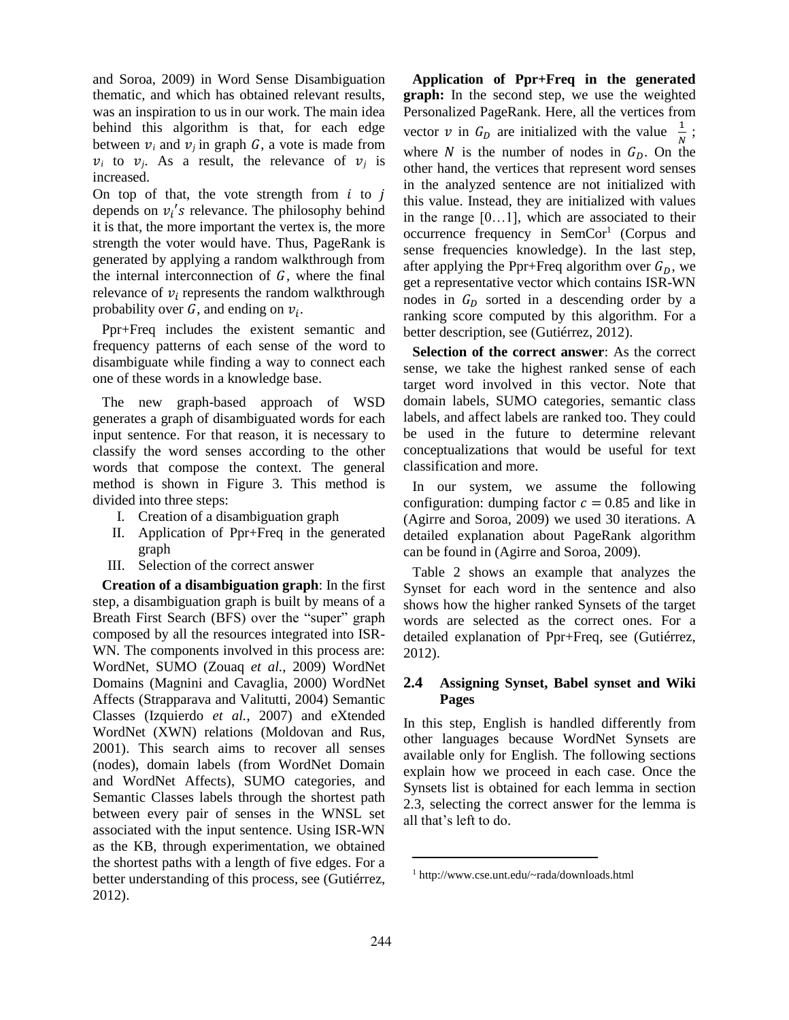and Soroa, 2009) in Word Sense Disambiguation thematic, and which has obtained relevant results, was an inspiration to us in our work. The main idea behind this algorithm is that, for each edge between  $v_i$  and  $v_j$  in graph G, a vote is made from  $v_i$  to  $v_j$ . As a result, the relevance of  $v_j$  is increased.

On top of that, the vote strength from  $i$  to  $j$ depends on  $v_i$ 's relevance. The philosophy behind it is that, the more important the vertex is, the more strength the voter would have. Thus, PageRank is generated by applying a random walkthrough from the internal interconnection of  $G$ , where the final relevance of  $v_i$  represents the random walkthrough probability over G, and ending on  $v_i$ .

Ppr+Freq includes the existent semantic and frequency patterns of each sense of the word to disambiguate while finding a way to connect each one of these words in a knowledge base.

The new graph-based approach of WSD generates a graph of disambiguated words for each input sentence. For that reason, it is necessary to classify the word senses according to the other words that compose the context. The general method is shown in Figure 3. This method is divided into three steps:

- I. Creation of a disambiguation graph
- II. Application of Ppr+Freq in the generated graph
- III. Selection of the correct answer

**Creation of a disambiguation graph**: In the first step, a disambiguation graph is built by means of a Breath First Search (BFS) over the "super" graph composed by all the resources integrated into ISR-WN. The components involved in this process are: WordNet, SUMO (Zouaq *et al.*, 2009) WordNet Domains (Magnini and Cavaglia, 2000) WordNet Affects (Strapparava and Valitutti, 2004) Semantic Classes (Izquierdo *et al.*, 2007) and eXtended WordNet (XWN) relations (Moldovan and Rus, 2001). This search aims to recover all senses (nodes), domain labels (from WordNet Domain and WordNet Affects), SUMO categories, and Semantic Classes labels through the shortest path between every pair of senses in the WNSL set associated with the input sentence. Using ISR-WN as the KB, through experimentation, we obtained the shortest paths with a length of five edges. For a better understanding of this process, see (Gutiérrez, 2012).

**Application of Ppr+Freq in the generated graph:** In the second step, we use the weighted Personalized PageRank. Here, all the vertices from vector v in  $G_D$  are initialized with the value  $\frac{1}{N}$ ; where  $N$  is the number of nodes in  $G_D$ . On the other hand, the vertices that represent word senses in the analyzed sentence are not initialized with this value. Instead, they are initialized with values in the range [0…1], which are associated to their occurrence frequency in SemCor<sup>1</sup> (Corpus and sense frequencies knowledge). In the last step, after applying the Ppr+Freq algorithm over  $G<sub>D</sub>$ , we get a representative vector which contains ISR-WN nodes in  $G<sub>D</sub>$  sorted in a descending order by a ranking score computed by this algorithm. For a better description, see (Gutiérrez, 2012).

**Selection of the correct answer**: As the correct sense, we take the highest ranked sense of each target word involved in this vector. Note that domain labels, SUMO categories, semantic class labels, and affect labels are ranked too. They could be used in the future to determine relevant conceptualizations that would be useful for text classification and more.

In our system, we assume the following configuration: dumping factor  $c = 0.85$  and like in (Agirre and Soroa, 2009) we used 30 iterations. A detailed explanation about PageRank algorithm can be found in (Agirre and Soroa, 2009).

Table 2 shows an example that analyzes the Synset for each word in the sentence and also shows how the higher ranked Synsets of the target words are selected as the correct ones. For a detailed explanation of Ppr+Freq, see (Gutiérrez, 2012).

# **2.4 Assigning Synset, Babel synset and Wiki Pages**

In this step, English is handled differently from other languages because WordNet Synsets are available only for English. The following sections explain how we proceed in each case. Once the Synsets list is obtained for each lemma in section 2.3, selecting the correct answer for the lemma is all that's left to do.

 $\overline{a}$ 

<sup>1</sup> http://www.cse.unt.edu/~rada/downloads.html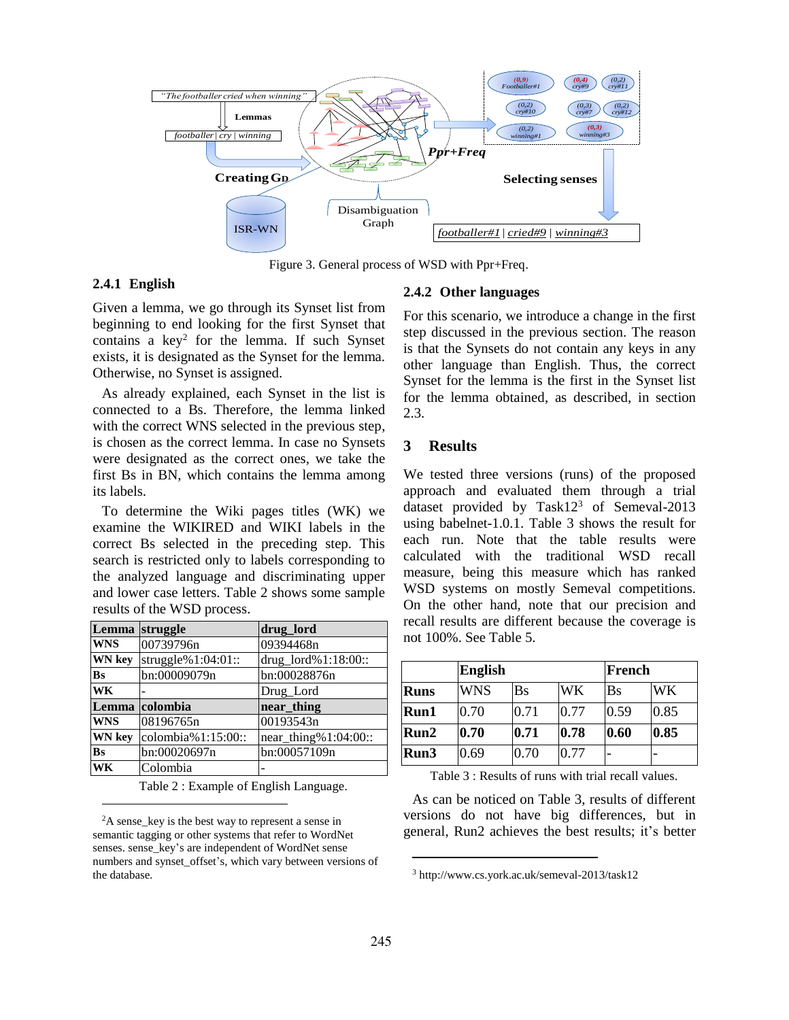

Figure 3. General process of WSD with Ppr+Freq.

# **2.4.1 English**

Given a lemma, we go through its Synset list from beginning to end looking for the first Synset that contains a key<sup>2</sup> for the lemma. If such Synset exists, it is designated as the Synset for the lemma. Otherwise, no Synset is assigned.

As already explained, each Synset in the list is connected to a Bs. Therefore, the lemma linked with the correct WNS selected in the previous step, is chosen as the correct lemma. In case no Synsets were designated as the correct ones, we take the first Bs in BN, which contains the lemma among its labels.

To determine the Wiki pages titles (WK) we examine the WIKIRED and WIKI labels in the correct Bs selected in the preceding step. This search is restricted only to labels corresponding to the analyzed language and discriminating upper and lower case letters. Table 2 shows some sample results of the WSD process.

| Lemma         | struggle           | drug_lord            |
|---------------|--------------------|----------------------|
| <b>WNS</b>    | 00739796n          | 09394468n            |
| <b>WN</b> key | struggle%1:04:01:: | drug_lord%1:18:00::  |
| <b>Bs</b>     | bn:00009079n       | bn:00028876n         |
| WK            |                    | Drug_Lord            |
|               | Lemma colombia     | near_thing           |
| <b>WNS</b>    | 08196765n          | 00193543n            |
| <b>WN</b> key | colombia%1:15:00:: | near_thing%1:04:00:: |
| <b>Bs</b>     | bn:00020697n       | bn:00057109n         |
| WK            | Colombia           |                      |

Table 2 : Example of English Language.

#### **2.4.2 Other languages**

For this scenario, we introduce a change in the first step discussed in the previous section. The reason is that the Synsets do not contain any keys in any other language than English. Thus, the correct Synset for the lemma is the first in the Synset list for the lemma obtained, as described, in section 2.3.

# **3 Results**

We tested three versions (runs) of the proposed approach and evaluated them through a trial dataset provided by Task12<sup>3</sup> of Semeval-2013 using babelnet-1.0.1. Table 3 shows the result for each run. Note that the table results were calculated with the traditional WSD recall measure, being this measure which has ranked WSD systems on mostly Semeval competitions. On the other hand, note that our precision and recall results are different because the coverage is not 100%. See Table 5.

|             | English    | French |      |                     |           |
|-------------|------------|--------|------|---------------------|-----------|
| <b>Runs</b> | <b>WNS</b> | Bs     | WK   | $\operatorname{Bs}$ | <b>WK</b> |
| Run1        | 0.70       | 0.71   | 0.77 | 0.59                | 0.85      |
| Run2        | 0.70       | 0.71   | 0.78 | 0.60                | 0.85      |
| Run3        | 0.69       | 0.70   | 0.77 |                     |           |

Table 3 : Results of runs with trial recall values.

As can be noticed on Table 3, results of different versions do not have big differences, but in general, Run2 achieves the best results; it's better

 $\overline{a}$ 

<sup>&</sup>lt;sup>2</sup>A sense\_key is the best way to represent a sense in semantic tagging or other systems that refer to WordNet senses. sense\_key's are independent of WordNet sense numbers and synset\_offset's, which vary between versions of the database.

<sup>3</sup> http://www.cs.york.ac.uk/semeval-2013/task12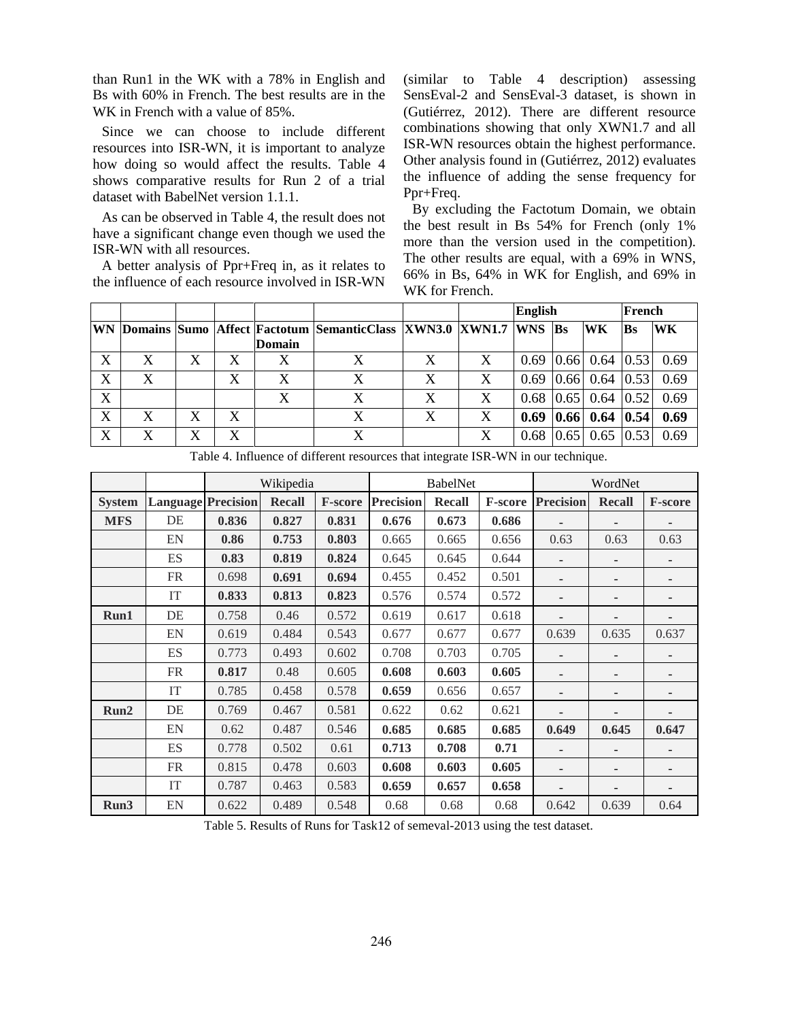than Run1 in the WK with a 78% in English and Bs with 60% in French. The best results are in the WK in French with a value of 85%.

Since we can choose to include different resources into ISR-WN, it is important to analyze how doing so would affect the results. Table 4 shows comparative results for Run 2 of a trial dataset with BabelNet version 1.1.1.

As can be observed in Table 4, the result does not have a significant change even though we used the ISR-WN with all resources.

A better analysis of Ppr+Freq in, as it relates to the influence of each resource involved in ISR-WN

(similar to Table 4 description) assessing SensEval-2 and SensEval-3 dataset, is shown in (Gutiérrez, 2012). There are different resource combinations showing that only XWN1.7 and all ISR-WN resources obtain the highest performance. Other analysis found in (Gutiérrez, 2012) evaluates the influence of adding the sense frequency for Ppr+Freq.

By excluding the Factotum Domain, we obtain the best result in Bs 54% for French (only 1% more than the version used in the competition). The other results are equal, with a 69% in WNS, 66% in Bs, 64% in WK for English, and 69% in WK for French.

|   |   |   |   |        |                                                                             |   |                  | <b>English</b> |  | French                 |      |           |
|---|---|---|---|--------|-----------------------------------------------------------------------------|---|------------------|----------------|--|------------------------|------|-----------|
|   |   |   |   |        | WN  Domains  Sumo  Affect  Factotum  SemanticClass  XWN3.0  XWN1.7  WNS  Bs |   |                  |                |  | <b>WK</b>              | Bs   | <b>WK</b> |
|   |   |   |   | Domain |                                                                             |   |                  |                |  |                        |      |           |
| X | X | X | X |        |                                                                             | X | $\boldsymbol{X}$ | 0.69           |  | $ 0.66 $ 0.64 $ 0.53 $ |      | 0.69      |
| X | X |   | X | X      |                                                                             | X | X                | 0.69           |  | 0.66  0.64             | 0.53 | 0.69      |
| X |   |   |   |        |                                                                             | X | $\boldsymbol{X}$ | 0.68           |  | $0.65$ 0.64 0.52       |      | 0.69      |
| X | X | Х | X |        |                                                                             | X | X                | 0.69           |  | $ 0.66 $ 0.64 $ 0.54 $ |      | 0.69      |
| X | X | Х | X |        |                                                                             |   | X                | 0.68           |  | $0.65$ 0.65            | 0.53 | 0.69      |

|               |                           | Wikipedia |               |         | <b>BabelNet</b>  |               |         | WordNet                  |                          |                |
|---------------|---------------------------|-----------|---------------|---------|------------------|---------------|---------|--------------------------|--------------------------|----------------|
| <b>System</b> | <b>Language Precision</b> |           | <b>Recall</b> | F-score | <b>Precision</b> | <b>Recall</b> | F-score | <b>Precision</b>         | <b>Recall</b>            | <b>F-score</b> |
| <b>MFS</b>    | DE                        | 0.836     | 0.827         | 0.831   | 0.676            | 0.673         | 0.686   |                          |                          |                |
|               | EN                        | 0.86      | 0.753         | 0.803   | 0.665            | 0.665         | 0.656   | 0.63                     | 0.63                     | 0.63           |
|               | ES                        | 0.83      | 0.819         | 0.824   | 0.645            | 0.645         | 0.644   |                          |                          |                |
|               | <b>FR</b>                 | 0.698     | 0.691         | 0.694   | 0.455            | 0.452         | 0.501   | $\overline{\phantom{a}}$ | $\overline{\phantom{a}}$ | -              |
|               | IT                        | 0.833     | 0.813         | 0.823   | 0.576            | 0.574         | 0.572   |                          | $\overline{\phantom{a}}$ |                |
| Run1          | DE                        | 0.758     | 0.46          | 0.572   | 0.619            | 0.617         | 0.618   |                          |                          |                |
|               | EN                        | 0.619     | 0.484         | 0.543   | 0.677            | 0.677         | 0.677   | 0.639                    | 0.635                    | 0.637          |
|               | ES                        | 0.773     | 0.493         | 0.602   | 0.708            | 0.703         | 0.705   |                          | -                        |                |
|               | <b>FR</b>                 | 0.817     | 0.48          | 0.605   | 0.608            | 0.603         | 0.605   |                          | $\overline{\phantom{a}}$ |                |
|               | IT                        | 0.785     | 0.458         | 0.578   | 0.659            | 0.656         | 0.657   |                          | $\overline{\phantom{a}}$ |                |
| Run2          | DE                        | 0.769     | 0.467         | 0.581   | 0.622            | 0.62          | 0.621   |                          |                          |                |
|               | EN                        | 0.62      | 0.487         | 0.546   | 0.685            | 0.685         | 0.685   | 0.649                    | 0.645                    | 0.647          |
|               | <b>ES</b>                 | 0.778     | 0.502         | 0.61    | 0.713            | 0.708         | 0.71    |                          |                          |                |
|               | <b>FR</b>                 | 0.815     | 0.478         | 0.603   | 0.608            | 0.603         | 0.605   |                          | $\overline{\phantom{a}}$ |                |
|               | IT                        | 0.787     | 0.463         | 0.583   | 0.659            | 0.657         | 0.658   | $\overline{\phantom{a}}$ | $\overline{\phantom{a}}$ |                |
| Run3          | EN                        | 0.622     | 0.489         | 0.548   | 0.68             | 0.68          | 0.68    | 0.642                    | 0.639                    | 0.64           |

Table 4. Influence of different resources that integrate ISR-WN in our technique.

Table 5. Results of Runs for Task12 of semeval-2013 using the test dataset.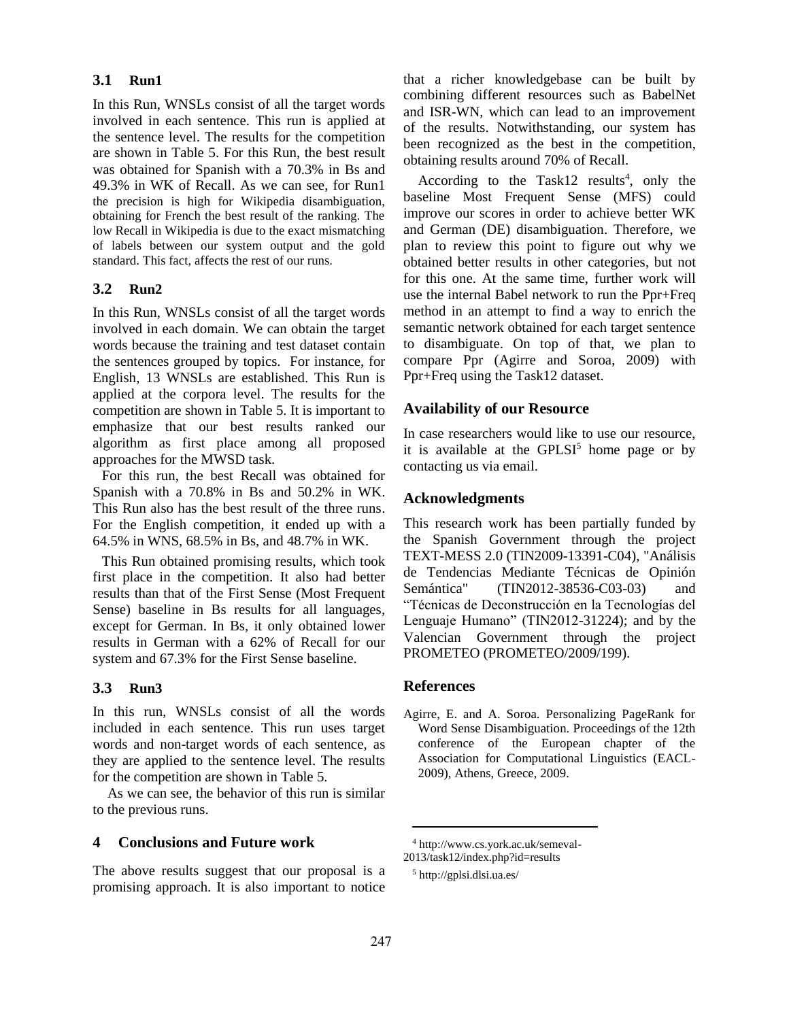# **3.1 Run1**

In this Run, WNSLs consist of all the target words involved in each sentence. This run is applied at the sentence level. The results for the competition are shown in Table 5. For this Run, the best result was obtained for Spanish with a 70.3% in Bs and 49.3% in WK of Recall. As we can see, for Run1 the precision is high for Wikipedia disambiguation, obtaining for French the best result of the ranking. The low Recall in Wikipedia is due to the exact mismatching of labels between our system output and the gold standard. This fact, affects the rest of our runs.

#### **3.2 Run2**

In this Run, WNSLs consist of all the target words involved in each domain. We can obtain the target words because the training and test dataset contain the sentences grouped by topics. For instance, for English, 13 WNSLs are established. This Run is applied at the corpora level. The results for the competition are shown in Table 5. It is important to emphasize that our best results ranked our algorithm as first place among all proposed approaches for the MWSD task.

For this run, the best Recall was obtained for Spanish with a 70.8% in Bs and 50.2% in WK. This Run also has the best result of the three runs. For the English competition, it ended up with a 64.5% in WNS, 68.5% in Bs, and 48.7% in WK.

This Run obtained promising results, which took first place in the competition. It also had better results than that of the First Sense (Most Frequent Sense) baseline in Bs results for all languages, except for German. In Bs, it only obtained lower results in German with a 62% of Recall for our system and 67.3% for the First Sense baseline.

# **3.3 Run3**

In this run, WNSLs consist of all the words included in each sentence. This run uses target words and non-target words of each sentence, as they are applied to the sentence level. The results for the competition are shown in Table 5.

As we can see, the behavior of this run is similar to the previous runs.

# **4 Conclusions and Future work**

The above results suggest that our proposal is a promising approach. It is also important to notice that a richer knowledgebase can be built by combining different resources such as BabelNet and ISR-WN, which can lead to an improvement of the results. Notwithstanding, our system has been recognized as the best in the competition, obtaining results around 70% of Recall.

According to the Task12 results<sup>4</sup>, only the baseline Most Frequent Sense (MFS) could improve our scores in order to achieve better WK and German (DE) disambiguation. Therefore, we plan to review this point to figure out why we obtained better results in other categories, but not for this one. At the same time, further work will use the internal Babel network to run the Ppr+Freq method in an attempt to find a way to enrich the semantic network obtained for each target sentence to disambiguate. On top of that, we plan to compare Ppr (Agirre and Soroa, 2009) with Ppr+Freq using the Task12 dataset.

#### **Availability of our Resource**

In case researchers would like to use our resource, it is available at the  $\text{GPLSI}^5$  home page or by contacting us via email.

#### **Acknowledgments**

This research work has been partially funded by the Spanish Government through the project TEXT-MESS 2.0 (TIN2009-13391-C04), "Análisis de Tendencias Mediante Técnicas de Opinión Semántica" (TIN2012-38536-C03-03) and "Técnicas de Deconstrucción en la Tecnologías del Lenguaje Humano" (TIN2012-31224); and by the Valencian Government through the project PROMETEO (PROMETEO/2009/199).

# **References**

Agirre, E. and A. Soroa. Personalizing PageRank for Word Sense Disambiguation. Proceedings of the 12th conference of the European chapter of the Association for Computational Linguistics (EACL-2009), Athens, Greece, 2009.

2013/task12/index.php?id=results

<sup>4</sup> http://www.cs.york.ac.uk/semeval-

<sup>5</sup> http://gplsi.dlsi.ua.es/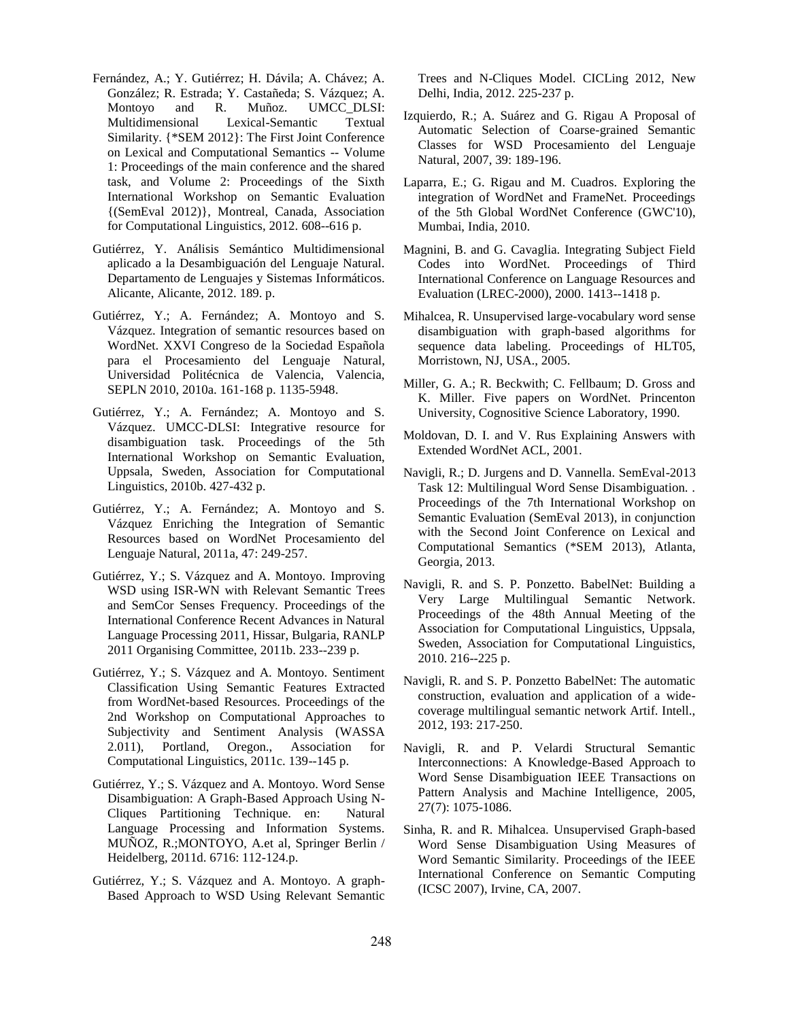- Fernández, A.; Y. Gutiérrez; H. Dávila; A. Chávez; A. González; R. Estrada; Y. Castañeda; S. Vázquez; A. Montoyo and R. Muñoz. UMCC\_DLSI: Multidimensional Lexical-Semantic Textual Similarity. {\*SEM 2012}: The First Joint Conference on Lexical and Computational Semantics -- Volume 1: Proceedings of the main conference and the shared task, and Volume 2: Proceedings of the Sixth International Workshop on Semantic Evaluation {(SemEval 2012)}, Montreal, Canada, Association for Computational Linguistics, 2012. 608--616 p.
- Gutiérrez, Y. Análisis Semántico Multidimensional aplicado a la Desambiguación del Lenguaje Natural. Departamento de Lenguajes y Sistemas Informáticos. Alicante, Alicante, 2012. 189. p.
- Gutiérrez, Y.; A. Fernández; A. Montoyo and S. Vázquez. Integration of semantic resources based on WordNet. XXVI Congreso de la Sociedad Española para el Procesamiento del Lenguaje Natural, Universidad Politécnica de Valencia, Valencia, SEPLN 2010, 2010a. 161-168 p. 1135-5948.
- Gutiérrez, Y.; A. Fernández; A. Montoyo and S. Vázquez. UMCC-DLSI: Integrative resource for disambiguation task. Proceedings of the 5th International Workshop on Semantic Evaluation, Uppsala, Sweden, Association for Computational Linguistics, 2010b. 427-432 p.
- Gutiérrez, Y.; A. Fernández; A. Montoyo and S. Vázquez Enriching the Integration of Semantic Resources based on WordNet Procesamiento del Lenguaje Natural, 2011a, 47: 249-257.
- Gutiérrez, Y.; S. Vázquez and A. Montoyo. Improving WSD using ISR-WN with Relevant Semantic Trees and SemCor Senses Frequency. Proceedings of the International Conference Recent Advances in Natural Language Processing 2011, Hissar, Bulgaria, RANLP 2011 Organising Committee, 2011b. 233--239 p.
- Gutiérrez, Y.; S. Vázquez and A. Montoyo. Sentiment Classification Using Semantic Features Extracted from WordNet-based Resources. Proceedings of the 2nd Workshop on Computational Approaches to Subjectivity and Sentiment Analysis (WASSA 2.011), Portland, Oregon., Association for Computational Linguistics, 2011c. 139--145 p.
- Gutiérrez, Y.; S. Vázquez and A. Montoyo. Word Sense Disambiguation: A Graph-Based Approach Using N-Cliques Partitioning Technique. en: Natural Language Processing and Information Systems. MUÑOZ, R.;MONTOYO, A.et al, Springer Berlin / Heidelberg, 2011d. 6716: 112-124.p.
- Gutiérrez, Y.; S. Vázquez and A. Montoyo. A graph-Based Approach to WSD Using Relevant Semantic

Trees and N-Cliques Model. CICLing 2012, New Delhi, India, 2012. 225-237 p.

- Izquierdo, R.; A. Suárez and G. Rigau A Proposal of Automatic Selection of Coarse-grained Semantic Classes for WSD Procesamiento del Lenguaje Natural, 2007, 39: 189-196.
- Laparra, E.; G. Rigau and M. Cuadros. Exploring the integration of WordNet and FrameNet. Proceedings of the 5th Global WordNet Conference (GWC'10), Mumbai, India, 2010.
- Magnini, B. and G. Cavaglia. Integrating Subject Field Codes into WordNet. Proceedings of Third International Conference on Language Resources and Evaluation (LREC-2000), 2000. 1413--1418 p.
- Mihalcea, R. Unsupervised large-vocabulary word sense disambiguation with graph-based algorithms for sequence data labeling. Proceedings of HLT05, Morristown, NJ, USA., 2005.
- Miller, G. A.; R. Beckwith; C. Fellbaum; D. Gross and K. Miller. Five papers on WordNet. Princenton University, Cognositive Science Laboratory, 1990.
- Moldovan, D. I. and V. Rus Explaining Answers with Extended WordNet ACL, 2001.
- Navigli, R.; D. Jurgens and D. Vannella. SemEval-2013 Task 12: Multilingual Word Sense Disambiguation. . Proceedings of the 7th International Workshop on Semantic Evaluation (SemEval 2013), in conjunction with the Second Joint Conference on Lexical and Computational Semantics (\*SEM 2013), Atlanta, Georgia, 2013.
- Navigli, R. and S. P. Ponzetto. BabelNet: Building a Very Large Multilingual Semantic Network. Proceedings of the 48th Annual Meeting of the Association for Computational Linguistics, Uppsala, Sweden, Association for Computational Linguistics, 2010. 216--225 p.
- Navigli, R. and S. P. Ponzetto BabelNet: The automatic construction, evaluation and application of a widecoverage multilingual semantic network Artif. Intell., 2012, 193: 217-250.
- Navigli, R. and P. Velardi Structural Semantic Interconnections: A Knowledge-Based Approach to Word Sense Disambiguation IEEE Transactions on Pattern Analysis and Machine Intelligence, 2005, 27(7): 1075-1086.
- Sinha, R. and R. Mihalcea. Unsupervised Graph-based Word Sense Disambiguation Using Measures of Word Semantic Similarity. Proceedings of the IEEE International Conference on Semantic Computing (ICSC 2007), Irvine, CA, 2007.